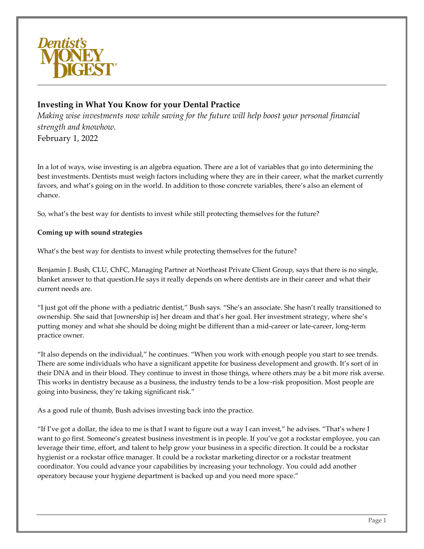

# **Investing in What You Know for your Dental Practice**

*Making wise investments now while saving for the future will help boost your personal financial strength and knowhow.* February 1, 2022

In a lot of ways, wise investing is an algebra equation. There are a lot of variables that go into determining the best investments. Dentists must weigh factors including where they are in their career, what the market currently favors, and what's going on in the world. In addition to those concrete variables, there's also an element of chance.

So, what's the best way for dentists to invest while still protecting themselves for the future?

## **Coming up with sound strategies**

What's the best way for dentists to invest while protecting themselves for the future?

Benjamin J. Bush, CLU, ChFC, Managing Partner at Northeast Private Client Group, says that there is no single, blanket answer to that question.He says it really depends on where dentists are in their career and what their current needs are.

"I just got off the phone with a pediatric dentist," Bush says. "She's an associate. She hasn't really transitioned to ownership. She said that [ownership is] her dream and that's her goal. Her investment strategy, where she's putting money and what she should be doing might be different than a mid-career or late-career, long-term practice owner.

"It also depends on the individual," he continues. "When you work with enough people you start to see trends. There are some individuals who have a significant appetite for business development and growth. It's sort of in their DNA and in their blood. They continue to invest in those things, where others may be a bit more risk averse. This works in dentistry because as a business, the industry tends to be a low-risk proposition. Most people are going into business, they're taking significant risk."

As a good rule of thumb, Bush advises investing back into the practice.

"If I've got a dollar, the idea to me is that I want to figure out a way I can invest," he advises. "That's where I want to go first. Someone's greatest business investment is in people. If you've got a rockstar employee, you can leverage their time, effort, and talent to help grow your business in a specific direction. It could be a rockstar hygienist or a rockstar office manager. It could be a rockstar marketing director or a rockstar treatment coordinator. You could advance your capabilities by increasing your technology. You could add another operatory because your hygiene department is backed up and you need more space."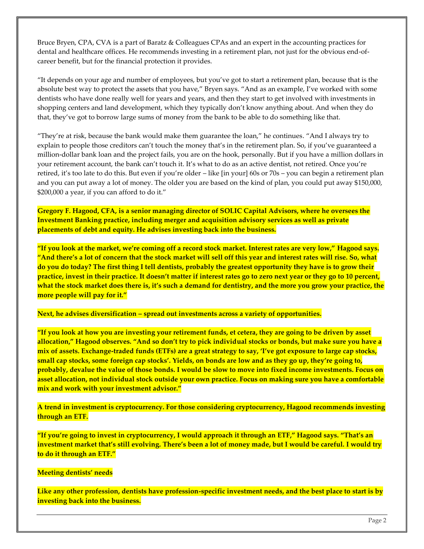Bruce Bryen, CPA, CVA is a part of Baratz & Colleagues CPAs and an expert in the accounting practices for dental and healthcare offices. He recommends investing in a retirement plan, not just for the obvious end-ofcareer benefit, but for the financial protection it provides.

"It depends on your age and number of employees, but you've got to start a retirement plan, because that is the absolute best way to protect the assets that you have," Bryen says. "And as an example, I've worked with some dentists who have done really well for years and years, and then they start to get involved with investments in shopping centers and land development, which they typically don't know anything about. And when they do that, they've got to borrow large sums of money from the bank to be able to do something like that.

"They're at risk, because the bank would make them guarantee the loan," he continues. "And I always try to explain to people those creditors can't touch the money that's in the retirement plan. So, if you've guaranteed a million-dollar bank loan and the project fails, you are on the hook, personally. But if you have a million dollars in your retirement account, the bank can't touch it. It's what to do as an active dentist, not retired. Once you're retired, it's too late to do this. But even if you're older – like [in your] 60s or 70s – you can begin a retirement plan and you can put away a lot of money. The older you are based on the kind of plan, you could put away \$150,000, \$200,000 a year, if you can afford to do it."

**Gregory F. Hagood, CFA, is a senior managing director of SOLIC Capital Advisors, where he oversees the Investment Banking practice, including merger and acquisition advisory services as well as private placements of debt and equity. He advises investing back into the business.**

**"If you look at the market, we're coming off a record stock market. Interest rates are very low," Hagood says. "And there's a lot of concern that the stock market will sell off this year and interest rates will rise. So, what do you do today? The first thing I tell dentists, probably the greatest opportunity they have is to grow their practice, invest in their practice. It doesn't matter if interest rates go to zero next year or they go to 10 percent, what the stock market does there is, it's such a demand for dentistry, and the more you grow your practice, the more people will pay for it."**

**Next, he advises diversification – spread out investments across a variety of opportunities.**

**"If you look at how you are investing your retirement funds, et cetera, they are going to be driven by asset allocation," Hagood observes. "And so don't try to pick individual stocks or bonds, but make sure you have a mix of assets. Exchange-traded funds (ETFs) are a great strategy to say, 'I've got exposure to large cap stocks, small cap stocks, some foreign cap stocks'. Yields, on bonds are low and as they go up, they're going to, probably, devalue the value of those bonds. I would be slow to move into fixed income investments. Focus on asset allocation, not individual stock outside your own practice. Focus on making sure you have a comfortable mix and work with your investment advisor."**

**A trend in investment is cryptocurrency. For those considering cryptocurrency, Hagood recommends investing through an ETF.**

**"If you're going to invest in cryptocurrency, I would approach it through an ETF," Hagood says. "That's an investment market that's still evolving. There's been a lot of money made, but I would be careful. I would try to do it through an ETF."**

#### **Meeting dentists' needs**

**Like any other profession, dentists have profession-specific investment needs, and the best place to start is by investing back into the business.**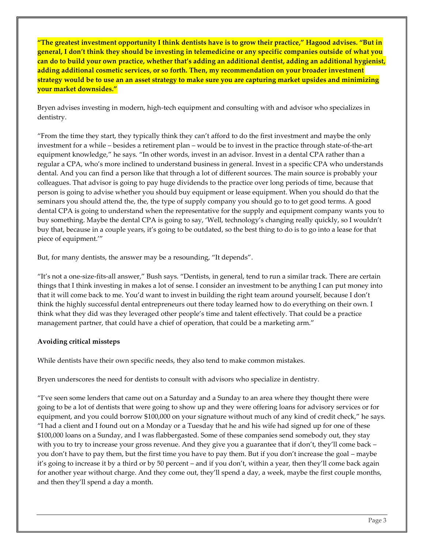**"The greatest investment opportunity I think dentists have is to grow their practice," Hagood advises. "But in general, I don't think they should be investing in telemedicine or any specific companies outside of what you can do to build your own practice, whether that's adding an additional dentist, adding an additional hygienist, adding additional cosmetic services, or so forth. Then, my recommendation on your broader investment strategy would be to use an an asset strategy to make sure you are capturing market upsides and minimizing your market downsides."**

Bryen advises investing in modern, high-tech equipment and consulting with and advisor who specializes in dentistry.

"From the time they start, they typically think they can't afford to do the first investment and maybe the only investment for a while – besides a retirement plan – would be to invest in the practice through state-of-the-art equipment knowledge," he says. "In other words, invest in an advisor. Invest in a dental CPA rather than a regular a CPA, who's more inclined to understand business in general. Invest in a specific CPA who understands dental. And you can find a person like that through a lot of different sources. The main source is probably your colleagues. That advisor is going to pay huge dividends to the practice over long periods of time, because that person is going to advise whether you should buy equipment or lease equipment. When you should do that the seminars you should attend the, the, the type of supply company you should go to to get good terms. A good dental CPA is going to understand when the representative for the supply and equipment company wants you to buy something. Maybe the dental CPA is going to say, 'Well, technology's changing really quickly, so I wouldn't buy that, because in a couple years, it's going to be outdated, so the best thing to do is to go into a lease for that piece of equipment.'"

But, for many dentists, the answer may be a resounding, "It depends".

"It's not a one-size-fits-all answer," Bush says. "Dentists, in general, tend to run a similar track. There are certain things that I think investing in makes a lot of sense. I consider an investment to be anything I can put money into that it will come back to me. You'd want to invest in building the right team around yourself, because I don't think the highly successful dental entrepreneurs out there today learned how to do everything on their own. I think what they did was they leveraged other people's time and talent effectively. That could be a practice management partner, that could have a chief of operation, that could be a marketing arm."

## **Avoiding critical missteps**

While dentists have their own specific needs, they also tend to make common mistakes.

Bryen underscores the need for dentists to consult with advisors who specialize in dentistry.

"I've seen some lenders that came out on a Saturday and a Sunday to an area where they thought there were going to be a lot of dentists that were going to show up and they were offering loans for advisory services or for equipment, and you could borrow \$100,000 on your signature without much of any kind of credit check," he says. "I had a client and I found out on a Monday or a Tuesday that he and his wife had signed up for one of these \$100,000 loans on a Sunday, and I was flabbergasted. Some of these companies send somebody out, they stay with you to try to increase your gross revenue. And they give you a guarantee that if don't, they'll come back – you don't have to pay them, but the first time you have to pay them. But if you don't increase the goal – maybe it's going to increase it by a third or by 50 percent – and if you don't, within a year, then they'll come back again for another year without charge. And they come out, they'll spend a day, a week, maybe the first couple months, and then they'll spend a day a month.